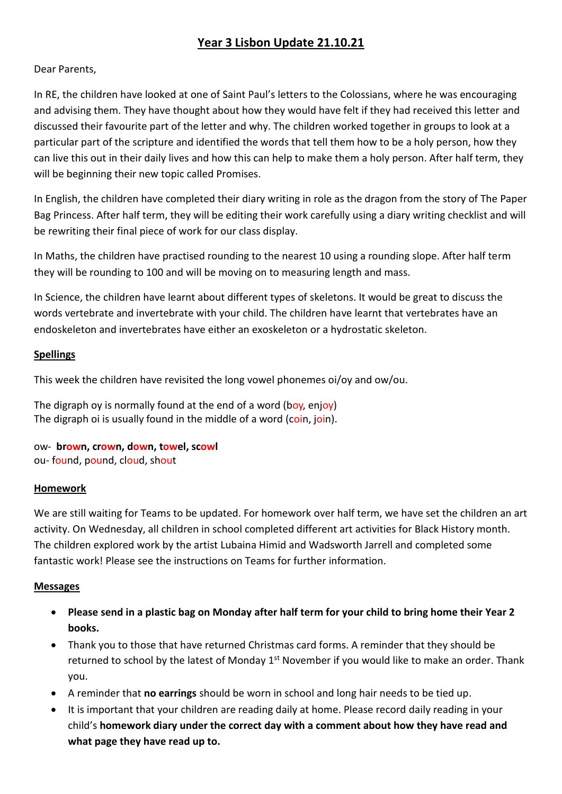# **Year 3 Lisbon Update 21.10.21**

# Dear Parents,

In RE, the children have looked at one of Saint Paul's letters to the Colossians, where he was encouraging and advising them. They have thought about how they would have felt if they had received this letter and discussed their favourite part of the letter and why. The children worked together in groups to look at a particular part of the scripture and identified the words that tell them how to be a holy person, how they can live this out in their daily lives and how this can help to make them a holy person. After half term, they will be beginning their new topic called Promises.

In English, the children have completed their diary writing in role as the dragon from the story of The Paper Bag Princess. After half term, they will be editing their work carefully using a diary writing checklist and will be rewriting their final piece of work for our class display.

In Maths, the children have practised rounding to the nearest 10 using a rounding slope. After half term they will be rounding to 100 and will be moving on to measuring length and mass.

In Science, the children have learnt about different types of skeletons. It would be great to discuss the words vertebrate and invertebrate with your child. The children have learnt that vertebrates have an endoskeleton and invertebrates have either an exoskeleton or a hydrostatic skeleton.

### **Spellings**

This week the children have revisited the long vowel phonemes oi/oy and ow/ou.

The digraph oy is normally found at the end of a word (boy, enjoy) The digraph oi is usually found in the middle of a word (coin, join).

ow- **brown, crown, down, towel, scowl** ou- found, pound, cloud, shout

#### **Homework**

We are still waiting for Teams to be updated. For homework over half term, we have set the children an art activity. On Wednesday, all children in school completed different art activities for Black History month. The children explored work by the artist Lubaina Himid and Wadsworth Jarrell and completed some fantastic work! Please see the instructions on Teams for further information.

#### **Messages**

- **Please send in a plastic bag on Monday after half term for your child to bring home their Year 2 books.**
- Thank you to those that have returned Christmas card forms. A reminder that they should be returned to school by the latest of Monday 1<sup>st</sup> November if you would like to make an order. Thank you.
- A reminder that **no earrings** should be worn in school and long hair needs to be tied up.
- It is important that your children are reading daily at home. Please record daily reading in your child's **homework diary under the correct day with a comment about how they have read and what page they have read up to.**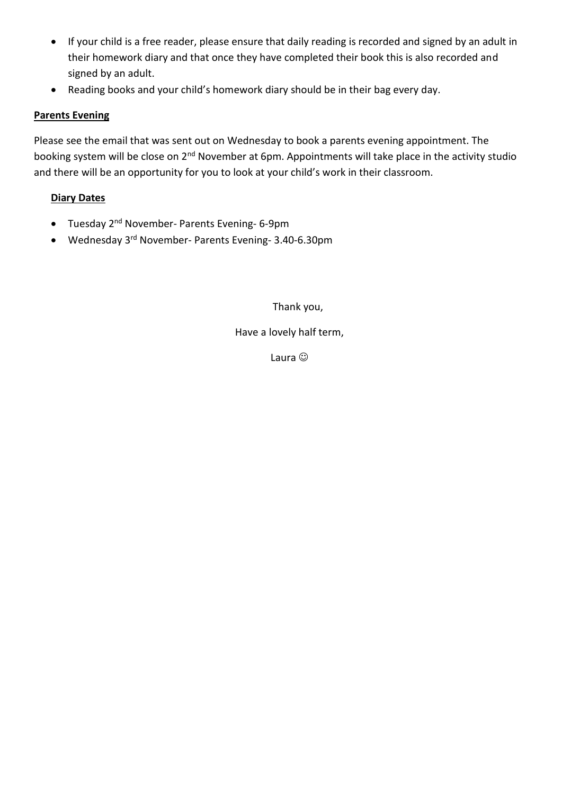- If your child is a free reader, please ensure that daily reading is recorded and signed by an adult in their homework diary and that once they have completed their book this is also recorded and signed by an adult.
- Reading books and your child's homework diary should be in their bag every day.

# **Parents Evening**

Please see the email that was sent out on Wednesday to book a parents evening appointment. The booking system will be close on 2<sup>nd</sup> November at 6pm. Appointments will take place in the activity studio and there will be an opportunity for you to look at your child's work in their classroom.

# **Diary Dates**

- Tuesday 2nd November- Parents Evening- 6-9pm
- Wednesday 3rd November- Parents Evening- 3.40-6.30pm

Thank you,

# Have a lovely half term,

Laura  $\odot$